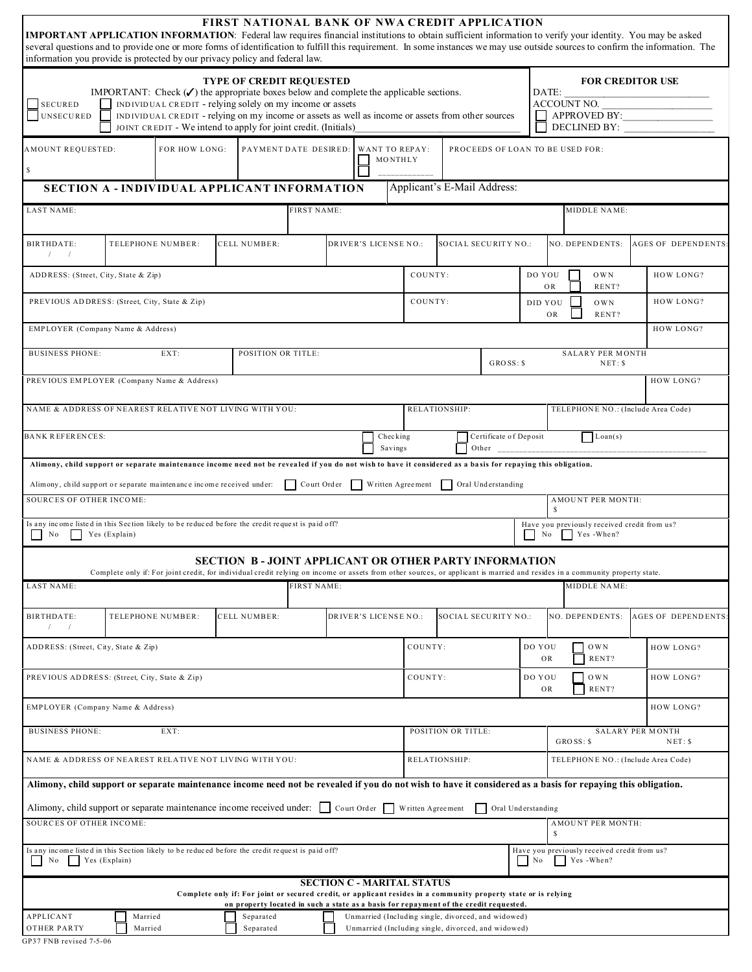| <b>IMPORTANT APPLICATION INFORMATION:</b> Federal law requires financial institutions to obtain sufficient information to verify your identity. You may be asked<br>several questions and to provide one or more forms of identification to fulfill this requirement. In some instances we may use outside sources to confirm the information. The |  |                                                                                                                                                                                                                                                                                                                                       |  | <b>FIRST NATIONAL BANK OF NWA CREDIT APPLICATION</b>                                                                                                                                                     |                               |                    |                                   |                     |                             |                                              |                                    |                                 |                     |                                    |                                                           |  |                            |
|----------------------------------------------------------------------------------------------------------------------------------------------------------------------------------------------------------------------------------------------------------------------------------------------------------------------------------------------------|--|---------------------------------------------------------------------------------------------------------------------------------------------------------------------------------------------------------------------------------------------------------------------------------------------------------------------------------------|--|----------------------------------------------------------------------------------------------------------------------------------------------------------------------------------------------------------|-------------------------------|--------------------|-----------------------------------|---------------------|-----------------------------|----------------------------------------------|------------------------------------|---------------------------------|---------------------|------------------------------------|-----------------------------------------------------------|--|----------------------------|
| information you provide is protected by our privacy policy and federal law.                                                                                                                                                                                                                                                                        |  |                                                                                                                                                                                                                                                                                                                                       |  |                                                                                                                                                                                                          |                               |                    |                                   |                     |                             |                                              |                                    |                                 |                     |                                    |                                                           |  |                            |
| <b>SECURED</b><br>UNSECURED                                                                                                                                                                                                                                                                                                                        |  | IMPORTANT: Check $(\checkmark)$ the appropriate boxes below and complete the applicable sections.<br>INDIVIDUAL CREDIT - relying solely on my income or assets<br>INDIVIDUAL CREDIT - relying on my income or assets as well as income or assets from other sources<br>JOINT CREDIT - We intend to apply for joint credit. (Initials) |  | <b>TYPE OF CREDIT REQUESTED</b>                                                                                                                                                                          |                               |                    |                                   |                     |                             |                                              |                                    |                                 | DATE:               | ACCOUNT NO.                        | <b>FOR CREDITOR USE</b><br>APPROVED BY:<br>DECLINED BY:   |  |                            |
| AMOUNT REQUESTED:<br>$\mathbf S$                                                                                                                                                                                                                                                                                                                   |  | FOR HOW LONG:                                                                                                                                                                                                                                                                                                                         |  | PAYMENT DATE DESIRED:                                                                                                                                                                                    |                               |                    | <b>WANT TO REPAY:</b>             | MONTHLY             |                             |                                              | PROCEEDS OF LOAN TO BE USED FOR:   |                                 |                     |                                    |                                                           |  |                            |
| <b>SECTION A - INDIVIDUAL APPLICANT INFORMATION</b>                                                                                                                                                                                                                                                                                                |  |                                                                                                                                                                                                                                                                                                                                       |  |                                                                                                                                                                                                          |                               |                    |                                   |                     |                             | Applicant's E-Mail Address:                  |                                    |                                 |                     |                                    |                                                           |  |                            |
| <b>LAST NAME:</b>                                                                                                                                                                                                                                                                                                                                  |  |                                                                                                                                                                                                                                                                                                                                       |  |                                                                                                                                                                                                          | <b>FIRST NAME:</b>            |                    |                                   |                     |                             |                                              |                                    |                                 |                     |                                    | MIDDLE NAME:                                              |  |                            |
| BIRTHDATE:<br>$\sqrt{2}$                                                                                                                                                                                                                                                                                                                           |  | TELEPHONE NUMBER:                                                                                                                                                                                                                                                                                                                     |  | <b>CELL NUMBER:</b>                                                                                                                                                                                      |                               |                    | DRIVER'S LICENSE NO.:             |                     |                             | SOCIAL SECURITY NO .:                        |                                    |                                 |                     |                                    | NO. DEPENDENTS:                                           |  | <b>AGES OF DEPENDENTS:</b> |
| ADDRESS: (Street, City, State & Zip)                                                                                                                                                                                                                                                                                                               |  |                                                                                                                                                                                                                                                                                                                                       |  |                                                                                                                                                                                                          |                               |                    |                                   |                     | COUNTY:                     |                                              |                                    | DO YOU                          | OR                  |                                    | <b>OWN</b><br>RENT?                                       |  | HOW LONG?                  |
| PREVIOUS ADDRESS: (Street, City, State & Zip)                                                                                                                                                                                                                                                                                                      |  |                                                                                                                                                                                                                                                                                                                                       |  |                                                                                                                                                                                                          |                               |                    |                                   | COUNTY:<br>DID YOU  |                             |                                              |                                    |                                 | <b>OWN</b><br>RENT? |                                    | HOW LONG?                                                 |  |                            |
| EMPLOYER (Company Name & Address)                                                                                                                                                                                                                                                                                                                  |  |                                                                                                                                                                                                                                                                                                                                       |  |                                                                                                                                                                                                          |                               |                    |                                   |                     |                             |                                              |                                    |                                 |                     |                                    |                                                           |  | HOW LONG?                  |
| <b>BUSINESS PHONE:</b>                                                                                                                                                                                                                                                                                                                             |  | EXT:                                                                                                                                                                                                                                                                                                                                  |  | <b>POSITION OR TITLE:</b>                                                                                                                                                                                |                               |                    |                                   |                     |                             |                                              | $GROSS:$ \$                        | <b>SALARY PER MONTH</b><br>NET: |                     |                                    |                                                           |  |                            |
| PREVIOUS EMPLOYER (Company Name & Address)                                                                                                                                                                                                                                                                                                         |  |                                                                                                                                                                                                                                                                                                                                       |  |                                                                                                                                                                                                          |                               |                    |                                   |                     |                             |                                              |                                    |                                 |                     |                                    |                                                           |  | HOW LONG?                  |
| NAME & ADDRESS OF NEAREST RELATIVE NOT LIVING WITH YOU:<br>RELATIONSHIP:                                                                                                                                                                                                                                                                           |  |                                                                                                                                                                                                                                                                                                                                       |  |                                                                                                                                                                                                          |                               |                    |                                   |                     |                             |                                              |                                    |                                 |                     | TELEPHONE NO.: (Include Area Code) |                                                           |  |                            |
| <b>BANK REFERENCES:</b>                                                                                                                                                                                                                                                                                                                            |  |                                                                                                                                                                                                                                                                                                                                       |  |                                                                                                                                                                                                          |                               |                    |                                   | Checking<br>Savings |                             |                                              | Certificate of Deposit<br>Other    |                                 |                     |                                    | $\Box$ Loan(s)                                            |  |                            |
| Alimony, child support or separate maintenance income need not be revealed if you do not wish to have it considered as a basis for repaying this obligation.                                                                                                                                                                                       |  |                                                                                                                                                                                                                                                                                                                                       |  |                                                                                                                                                                                                          |                               |                    |                                   |                     |                             |                                              |                                    |                                 |                     |                                    |                                                           |  |                            |
| Alimony, child support or separate maintenance income received under:<br><b>SOURCES OF OTHER INCOME:</b>                                                                                                                                                                                                                                           |  |                                                                                                                                                                                                                                                                                                                                       |  |                                                                                                                                                                                                          | Court Order Written Agreement |                    |                                   |                     |                             | Oral Understanding                           |                                    |                                 |                     |                                    |                                                           |  |                            |
|                                                                                                                                                                                                                                                                                                                                                    |  |                                                                                                                                                                                                                                                                                                                                       |  |                                                                                                                                                                                                          |                               |                    |                                   |                     |                             |                                              |                                    |                                 | S                   |                                    | AMOUNT PER MONTH:                                         |  |                            |
| Is any income listed in this Section likely to be reduced before the credit request is paid off?<br>Yes (Explain)<br>N <sub>0</sub>                                                                                                                                                                                                                |  |                                                                                                                                                                                                                                                                                                                                       |  |                                                                                                                                                                                                          |                               |                    |                                   |                     |                             |                                              |                                    |                                 | No                  |                                    | Have you previously received credit from us?<br>Yes-When? |  |                            |
|                                                                                                                                                                                                                                                                                                                                                    |  | Complete only if: For joint credit, for individual credit relying on income or assets from other sources, or applicant is married and resides in a community property state.                                                                                                                                                          |  | SECTION B-JOINT APPLICANT OR OTHER PARTY INFORMATION                                                                                                                                                     |                               |                    |                                   |                     |                             |                                              |                                    |                                 |                     |                                    |                                                           |  |                            |
| <b>LAST NAME:</b>                                                                                                                                                                                                                                                                                                                                  |  |                                                                                                                                                                                                                                                                                                                                       |  |                                                                                                                                                                                                          | <b>FIRST NAME:</b>            |                    |                                   |                     |                             |                                              |                                    |                                 |                     |                                    | <b>MIDDLE NAME:</b>                                       |  |                            |
|                                                                                                                                                                                                                                                                                                                                                    |  |                                                                                                                                                                                                                                                                                                                                       |  |                                                                                                                                                                                                          |                               |                    |                                   |                     |                             |                                              |                                    |                                 |                     |                                    |                                                           |  |                            |
| BIRTHDATE:<br>$\sqrt{2}$                                                                                                                                                                                                                                                                                                                           |  | TELEPHONE NUMBER:                                                                                                                                                                                                                                                                                                                     |  | <b>CELL NUMBER:</b>                                                                                                                                                                                      |                               |                    | DRIVER'S LICENSE NO.:             |                     | <b>SOCIAL SECURITY NO.:</b> |                                              |                                    |                                 | NO. DEPENDENTS:     |                                    |                                                           |  | <b>AGES OF DEPENDENTS:</b> |
| ADDRESS: (Street, City, State & Zip)                                                                                                                                                                                                                                                                                                               |  |                                                                                                                                                                                                                                                                                                                                       |  |                                                                                                                                                                                                          |                               |                    | COUNTY:                           |                     |                             |                                              | OWN<br>DO YOU<br>RENT?<br>OR       |                                 |                     |                                    | HOW LONG?                                                 |  |                            |
| PREVIOUS ADDRESS: (Street, City, State & Zip)                                                                                                                                                                                                                                                                                                      |  |                                                                                                                                                                                                                                                                                                                                       |  |                                                                                                                                                                                                          |                               | COUNTY:            |                                   |                     |                             | $\sqrt{\rm OWN}$<br>DO YOU<br>RENT?<br>OR    |                                    |                                 |                     | HOW LONG?                          |                                                           |  |                            |
| EMPLOYER (Company Name & Address)                                                                                                                                                                                                                                                                                                                  |  |                                                                                                                                                                                                                                                                                                                                       |  |                                                                                                                                                                                                          |                               |                    |                                   |                     |                             |                                              |                                    |                                 |                     |                                    |                                                           |  | HOW LONG?                  |
| <b>BUSINESS PHONE:</b><br>EXT:                                                                                                                                                                                                                                                                                                                     |  |                                                                                                                                                                                                                                                                                                                                       |  |                                                                                                                                                                                                          |                               | POSITION OR TITLE: |                                   |                     |                             | <b>SALARY PER MONTH</b><br>GROSS: \$<br>NET: |                                    |                                 |                     |                                    |                                                           |  |                            |
| NAME & ADDRESS OF NEAREST RELATIVE NOT LIVING WITH YOU:                                                                                                                                                                                                                                                                                            |  |                                                                                                                                                                                                                                                                                                                                       |  |                                                                                                                                                                                                          |                               | RELATIONSHIP:      |                                   |                     |                             | TELEPHONE NO.: (Include Area Code)           |                                    |                                 |                     |                                    |                                                           |  |                            |
| Alimony, child support or separate maintenance income need not be revealed if you do not wish to have it considered as a basis for repaying this obligation.                                                                                                                                                                                       |  |                                                                                                                                                                                                                                                                                                                                       |  |                                                                                                                                                                                                          |                               |                    |                                   |                     |                             |                                              |                                    |                                 |                     |                                    |                                                           |  |                            |
| Alimony, child support or separate maintenance income received under: $\ \cdot\ $ Court Order Written Agreement<br>SOURCES OF OTHER INCOME:                                                                                                                                                                                                        |  |                                                                                                                                                                                                                                                                                                                                       |  |                                                                                                                                                                                                          |                               |                    |                                   |                     |                             |                                              | Oral Understanding<br>$\mathbf{I}$ |                                 |                     |                                    | AMOUNT PER MONTH:                                         |  |                            |
| Is any income listed in this Section likely to be reduced before the credit request is paid off?<br>Yes (Explain)<br>N <sub>0</sub>                                                                                                                                                                                                                |  |                                                                                                                                                                                                                                                                                                                                       |  |                                                                                                                                                                                                          |                               |                    |                                   |                     |                             |                                              |                                    | N <sub>0</sub>                  | s                   |                                    | Have you previously received credit from us?<br>Yes-When? |  |                            |
|                                                                                                                                                                                                                                                                                                                                                    |  |                                                                                                                                                                                                                                                                                                                                       |  |                                                                                                                                                                                                          |                               |                    |                                   |                     |                             |                                              |                                    |                                 |                     |                                    |                                                           |  |                            |
|                                                                                                                                                                                                                                                                                                                                                    |  |                                                                                                                                                                                                                                                                                                                                       |  |                                                                                                                                                                                                          |                               |                    |                                   |                     |                             |                                              |                                    |                                 |                     |                                    |                                                           |  |                            |
|                                                                                                                                                                                                                                                                                                                                                    |  |                                                                                                                                                                                                                                                                                                                                       |  | Complete only if: For joint or secured credit, or applicant resides in a community property state or is relying<br>on property located in such a state as a basis for repayment of the credit requested. |                               |                    | <b>SECTION C - MARITAL STATUS</b> |                     |                             |                                              |                                    |                                 |                     |                                    |                                                           |  |                            |

GP37 FNB revised 7-5-06